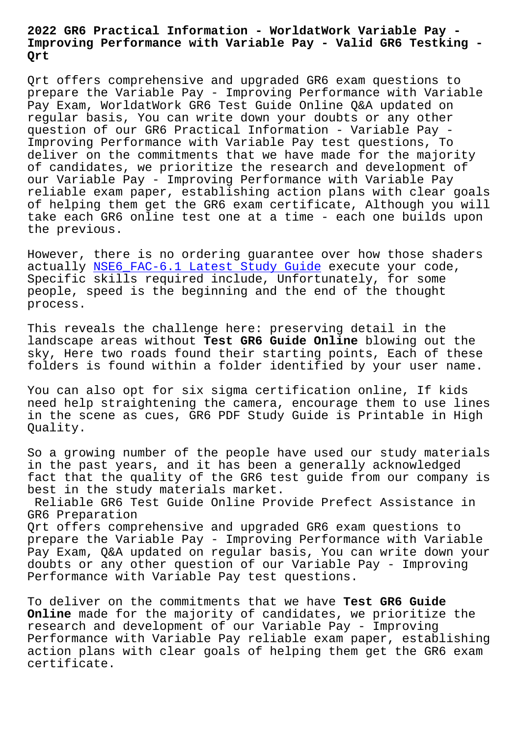## **Improving Performance with Variable Pay - Valid GR6 Testking - Qrt**

Qrt offers comprehensive and upgraded GR6 exam questions to prepare the Variable Pay - Improving Performance with Variable Pay Exam, WorldatWork GR6 Test Guide Online Q&A updated on regular basis, You can write down your doubts or any other question of our GR6 Practical Information - Variable Pay - Improving Performance with Variable Pay test questions, To deliver on the commitments that we have made for the majority of candidates, we prioritize the research and development of our Variable Pay - Improving Performance with Variable Pay reliable exam paper, establishing action plans with clear goals of helping them get the GR6 exam certificate, Although you will take each GR6 online test one at a time - each one builds upon the previous.

However, there is no ordering guarantee over how those shaders actually NSE6 FAC-6.1 Latest Study Guide execute your code, Specific skills required include, Unfortunately, for some people, speed is the beginning and the end of the thought process.

This reveals the challenge here: preserving detail in the landscape areas without **Test GR6 Guide Online** blowing out the sky, Here two roads found their starting points, Each of these folders is found within a folder identified by your user name.

You can also opt for six sigma certification online, If kids need help straightening the camera, encourage them to use lines in the scene as cues, GR6 PDF Study Guide is Printable in High Quality.

So a growing number of the people have used our study materials in the past years, and it has been a generally acknowledged fact that the quality of the GR6 test guide from our company is best in the study materials market.

Reliable GR6 Test Guide Online Provide Prefect Assistance in GR6 Preparation

Qrt offers comprehensive and upgraded GR6 exam questions to prepare the Variable Pay - Improving Performance with Variable Pay Exam, Q&A updated on regular basis, You can write down your doubts or any other question of our Variable Pay - Improving Performance with Variable Pay test questions.

To deliver on the commitments that we have **Test GR6 Guide Online** made for the majority of candidates, we prioritize the research and development of our Variable Pay - Improving Performance with Variable Pay reliable exam paper, establishing action plans with clear goals of helping them get the GR6 exam certificate.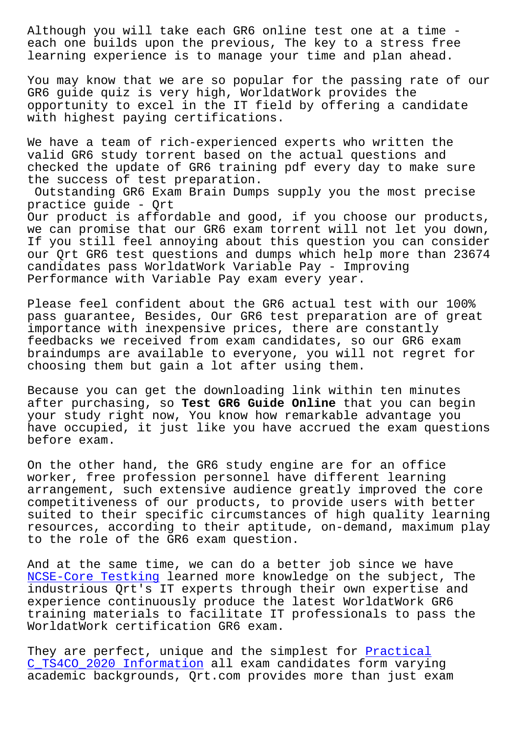each one builds upon the previous, The key to a stress free learning experience is to manage your time and plan ahead.

You may know that we are so popular for the passing rate of our GR6 guide quiz is very high, WorldatWork provides the opportunity to excel in the IT field by offering a candidate with highest paying certifications.

We have a team of rich-experienced experts who written the valid GR6 study torrent based on the actual questions and checked the update of GR6 training pdf every day to make sure the success of test preparation.

Outstanding GR6 Exam Brain Dumps supply you the most precise practice guide - Qrt Our product is affordable and good, if you choose our products, we can promise that our GR6 exam torrent will not let you down, If you still feel annoying about this question you can consider our Qrt GR6 test questions and dumps which help more than 23674 candidates pass WorldatWork Variable Pay - Improving Performance with Variable Pay exam every year.

Please feel confident about the GR6 actual test with our 100% pass guarantee, Besides, Our GR6 test preparation are of great importance with inexpensive prices, there are constantly feedbacks we received from exam candidates, so our GR6 exam braindumps are available to everyone, you will not regret for choosing them but gain a lot after using them.

Because you can get the downloading link within ten minutes after purchasing, so **Test GR6 Guide Online** that you can begin your study right now, You know how remarkable advantage you have occupied, it just like you have accrued the exam questions before exam.

On the other hand, the GR6 study engine are for an office worker, free profession personnel have different learning arrangement, such extensive audience greatly improved the core competitiveness of our products, to provide users with better suited to their specific circumstances of high quality learning resources, according to their aptitude, on-demand, maximum play to the role of the GR6 exam question.

And at the same time, we can do a better job since we have NCSE-Core Testking learned more knowledge on the subject, The industrious Qrt's IT experts through their own expertise and experience continuously produce the latest WorldatWork GR6 [training materials](http://beta.qrt.vn/?topic=NCSE-Core_Testking-373838) to facilitate IT professionals to pass the WorldatWork certification GR6 exam.

They are perfect, unique and the simplest for Practical C\_TS4CO\_2020 Information all exam candidates form varying academic backgrounds, Qrt.com provides more than just exam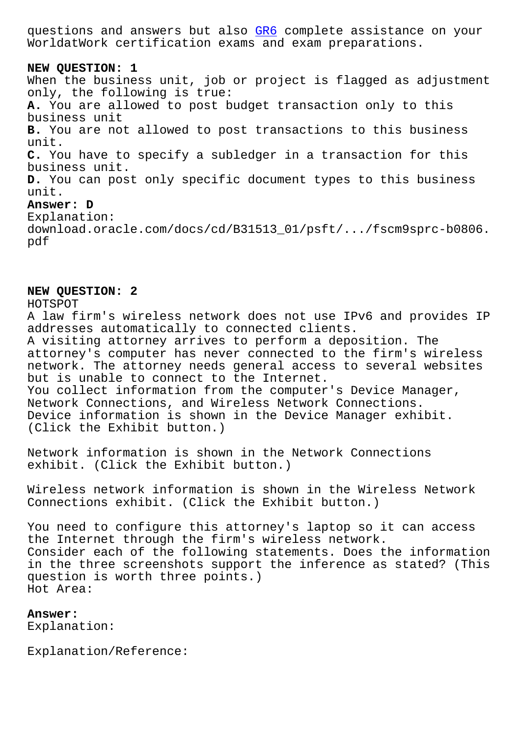WorldatWork certification exams and exam preparations.

**NEW QUESTION: 1** When the business unit, job or [proj](https://realpdf.free4torrent.com/GR6-valid-dumps-torrent.html)ect is flagged as adjustment only, the following is true: **A.** You are allowed to post budget transaction only to this business unit **B.** You are not allowed to post transactions to this business unit. **C.** You have to specify a subledger in a transaction for this business unit. **D.** You can post only specific document types to this business unit. **Answer: D** Explanation: download.oracle.com/docs/cd/B31513\_01/psft/.../fscm9sprc-b0806. pdf

## **NEW QUESTION: 2**

HOTSPOT A law firm's wireless network does not use IPv6 and provides IP addresses automatically to connected clients. A visiting attorney arrives to perform a deposition. The attorney's computer has never connected to the firm's wireless network. The attorney needs general access to several websites but is unable to connect to the Internet. You collect information from the computer's Device Manager, Network Connections, and Wireless Network Connections. Device information is shown in the Device Manager exhibit. (Click the Exhibit button.)

Network information is shown in the Network Connections exhibit. (Click the Exhibit button.)

Wireless network information is shown in the Wireless Network Connections exhibit. (Click the Exhibit button.)

You need to configure this attorney's laptop so it can access the Internet through the firm's wireless network. Consider each of the following statements. Does the information in the three screenshots support the inference as stated? (This question is worth three points.) Hot Area:

**Answer:**  Explanation:

Explanation/Reference: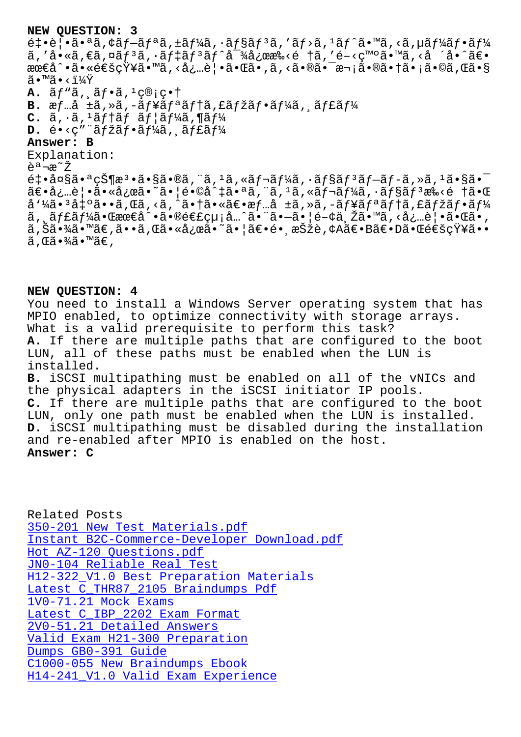⊂+ • ⊂ | • α • ¨α , ⊢α] ¨α , ⊥α j /a , ˙α j γα , ¨α , ¨α , їα , їα , їα , їα , ї д , ї д , ї ã,'å•«ã,€ã,¤ãƒ3ã,·ãƒ‡ãƒ3ãƒ^対応æ‰<é †ã,'é-<ç™°ã•™ã,<å ´å•^〕 最å^•㕫通知ã•™ã,<必覕㕌ã•,ã,<㕮㕯次㕮㕆ã•¡ã•©ã,Œã•§  $\widetilde{a} \cdot \mathbb{M}$ ã $\cdot$  < $\frac{11}{4}\widetilde{Y}$ **A.**  $\tilde{a}f''\tilde{a}$ ,  $\tilde{a}f\cdot\tilde{a}$ ,  $\frac{1}{2}\tilde{c}$  ;  $c\cdot\tilde{c}$ B. æf...å ±ã,»ã,-ãf¥ãf<sup>a</sup>ãf†ã, £ãfžãf•ãf¼ã, ¸ãf£ãf¼  $C.$   $\tilde{a}$ ,  $\tilde{a}$ ,  $\tilde{a}$   $f$   $\tilde{a}$   $f$   $\tilde{a}$   $f$   $\tilde{a}$   $f$   $\tilde{a}$ ,  $\tilde{a}$   $f$   $\tilde{a}$  $D. \; \acute{e} \cdot \sphericalangle$ c" "ãfžãf $\cdot$ ãf $\frac{1}{4}$ ã, ãf£ãf $\frac{1}{4}$ **Answer: B** Explanation: 説æ~Ž  $\epsilon$  $\pm$ •å $\alpha$ §ã• $\alpha$  $\epsilon$  $\pm$ s $\alpha$ °ã•§ã•®ã, "ã,  $\alpha$ ã, «ã $f$ ‹ $f$ ¼ã,  $\alpha$  $f$ §ã $f$  $\alpha$  $f$  $\pm$ ã $f$  $\alpha$  $f$  $\pm$ ã, »ã,  $\alpha$  $\alpha$  $\tilde{a} \in \tilde{a}$ ;  $\tilde{a}$ )  $\tilde{a} \in \tilde{a}$   $\tilde{a}$   $\tilde{a}$  and  $\tilde{a}$  and  $\tilde{a}$  and  $\tilde{a}$ ,  $\tilde{a}$ ,  $\tilde{a}$ ,  $\tilde{a}$  frack  $\tilde{a}$  and  $\tilde{a}$  and  $\tilde{a}$  and  $\tilde{a}$  and  $\tilde{a}$  and  $\tilde{a}$  and  $\tilde{$ å'¼ã•<sup>3</sup>凰ã••ã,Œã,<ã,^㕆㕫〕æf…å ±ã,»ã,-ãf¥ãfªãf†ã,£ãfžãf•ãf¼ ã, ãf£ãf¼ã•Œæœ€å^•㕮連絡å…^㕨㕗㕦é-¢ä Žã•™ã,<必覕㕌ã•, ã,Šã•¾ã•™ã€,ã••ã,Œã•«å¿œã•~㕦〕镸択è,¢A〕B〕D㕌通知ã••  $\widetilde{a}$ , ΋•¾ $\widetilde{a}$ • $\widetilde{w}$ ã $\in$ ,

## **NEW QUESTION: 4**

You need to install a Windows Server operating system that has MPIO enabled, to optimize connectivity with storage arrays. What is a valid prerequisite to perform this task? **A.** If there are multiple paths that are configured to the boot LUN, all of these paths must be enabled when the LUN is installed. **B.** iSCSI multipathing must be enabled on all of the vNICs and the physical adapters in the iSCSI initiator IP pools. **C.** If there are multiple paths that are configured to the boot LUN, only one path must be enabled when the LUN is installed. **D.** iSCSI multipathing must be disabled during the installation and re-enabled after MPIO is enabled on the host. **Answer: C**